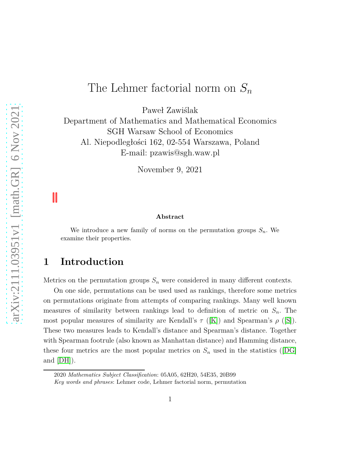# The Lehmer factorial norm on *S<sup>n</sup>*

Paweł Zawiślak

Department of Mathematics and Mathematical Economics SGH Warsaw School of Economics Al. Niepodległości 162, 02-554 Warszawa, Poland E-mail: pzawis@sgh.waw.pl

November 9, 2021

#### **Abstract**

We introduce a new family of norms on the permutation groups  $S_n$ . We examine their properties.

## **1 Introduction**

Metrics on the permutation groups *S<sup>n</sup>* were considered in many different contexts.

On one side, permutations can be used used as rankings, therefore some metrics on permutations originate from attempts of comparing rankings. Many well known measures of similarity between rankings lead to definition of metric on *Sn*. The most popular measures of similarity are Kendall's  $\tau$  ([\[K\]](#page-21-0)) and Spearman's  $\rho$  ([\[S\]](#page-22-0)). These two measures leads to Kendall's distance and Spearman's distance. Together with Spearman footrule (also known as Manhattan distance) and Hamming distance, these four metrics are the most popular metrics on  $S_n$  used in the statistics ([\[DG\]](#page-20-0) and  $[DH]$ ).

<sup>2020</sup> *Mathematics Subject Classification*: 05A05, 62H20, 54E35, 20B99 *Key words and phrases*: Lehmer code, Lehmer factorial norm, permutation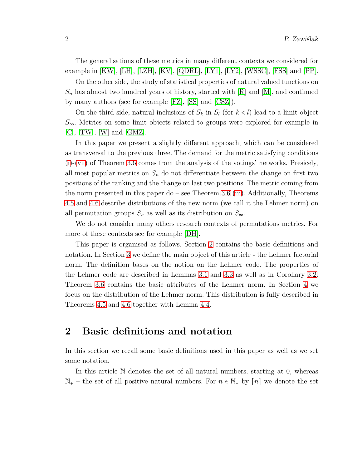The generalisations of these metrics in many different contexts we considered for example in [\[KW\]](#page-21-1), [\[LH\]](#page-21-2), [\[LZH\]](#page-21-3), [\[KV\]](#page-21-4), [\[QDRL\]](#page-22-1), [\[LY1\]](#page-21-5), [\[LY2\]](#page-21-6), [\[WSSC\]](#page-22-2), [\[FSS\]](#page-20-2) and [\[PP\]](#page-22-3).

On the other side, the study of statistical properties of natural valued functions on  $S_n$  has almost two hundred years of history, started with  $[R]$  and  $[M]$ , and continued by many authors (see for example [\[FZ\]](#page-20-3), [\[SS\]](#page-22-6) and [\[CSZ\]](#page-20-4)).

On the third side, natural inclusions of  $S_k$  in  $S_l$  (for  $k < l$ ) lead to a limit object *S*∞. Metrics on some limit objects related to groups were explored for example in  $[C],$  $[C],$  [\[TW\]](#page-22-7), [\[W\]](#page-22-8) and [\[GMZ\]](#page-21-7).

In this paper we present a slightly different approach, which can be considered as transversal to the previous three. The demand for the metric satisfying conditions [\(i\)](#page-6-0)-[\(vii\)](#page-6-1) of Theorem [3.6](#page-6-2) comes from the analysis of the votings' networks. Presicely, all most popular metrics on *S<sup>n</sup>* do not differentiate between the change on first two positions of the ranking and the change on last two positions. The metric coming from the norm presented in this paper do – see Theorem [3.6](#page-6-2) [\(iii\)](#page-6-3). Additionally, Theorems [4.5](#page-11-0) and [4.6](#page-13-0) describe distributions of the new norm (we call it the Lehmer norm) on all permutation groups  $S_n$  as well as its distribution on  $S_\infty$ .

We do not consider many others research contexts of permutations metrics. For more of these contexts see for example [\[DH\]](#page-20-1).

This paper is organised as follows. Section [2](#page-1-0) contains the basic definitions and notation. In Section [3](#page-2-0) we define the main object of this article - the Lehmer factorial norm. The definition bases on the notion on the Lehmer code. The properties of the Lehmer code are described in Lemmas [3.1](#page-3-0) and 3.3 as well as in Corollary [3.2.](#page-4-0) Theorem [3.6](#page-6-2) contains the basic attributes of the Lehmer norm. In Section [4](#page-9-0) we focus on the distribution of the Lehmer norm. This distribution is fully described in Theorems [4.5](#page-11-0) and [4.6](#page-13-0) together with Lemma [4.4.](#page-11-1)

#### <span id="page-1-0"></span>**2 Basic definitions and notation**

In this section we recall some basic definitions used in this paper as well as we set some notation.

In this article N denotes the set of all natural numbers, starting at 0, whereas  $\mathbb{N}_+$  – the set of all positive natural numbers. For  $n \in \mathbb{N}_+$  by  $[n]$  we denote the set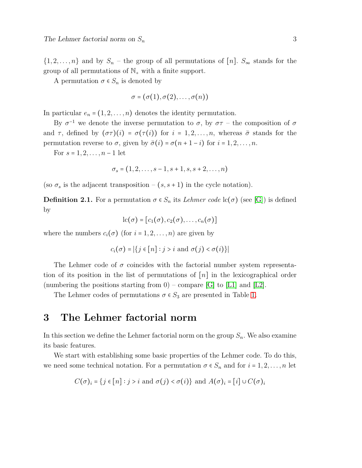$\{1, 2, \ldots, n\}$  and by  $S_n$  – the group of all permutations of [*n*].  $S_{\infty}$  stands for the group of all permutations of  $\mathbb{N}_+$  with a finite support.

A permutation  $\sigma \in S_n$  is denoted by

$$
\sigma=(\sigma(1),\sigma(2),\ldots,\sigma(n))
$$

In particular  $e_n = (1, 2, \ldots, n)$  denotes the identity permutation.

By  $\sigma^{-1}$  we denote the inverse permutation to  $\sigma$ , by  $\sigma\tau$  – the composition of  $\sigma$ and  $\tau$ , defined by  $(\sigma\tau)(i) = \sigma(\tau(i))$  for  $i = 1, 2, \ldots, n$ , whereas  $\bar{\sigma}$  stands for the permutation reverse to *σ*, given by  $\bar{\sigma}(i) = \sigma(n+1-i)$  for *i* = 1, 2, . . . , *n*.

For  $s = 1, 2, \ldots, n - 1$  let

$$
\sigma_s = (1, 2, \ldots, s-1, s+1, s, s+2, \ldots, n)
$$

(so  $\sigma_s$  is the adjacent transposition –  $(s, s+1)$  in the cycle notation).

**Definition 2.1.** For a permutation  $\sigma \in S_n$  its *Lehmer code* lc( $\sigma$ ) (see [\[G\]](#page-21-8)) is defined by

$$
lc(\sigma) = [c_1(\sigma), c_2(\sigma), \ldots, c_n(\sigma)]
$$

where the numbers  $c_i(\sigma)$  (for  $i = 1, 2, \ldots, n$ ) are given by

$$
c_i(\sigma) = |\{ j \in [n] : j > i \text{ and } \sigma(j) < \sigma(i) \}|
$$

The Lehmer code of  $\sigma$  coincides with the factorial number system representation of its position in the list of permutations of [*n*] in the lexicographical order (numbering the positions starting from  $0$ ) – compare [\[G\]](#page-21-8) to [\[L1\]](#page-21-9) and [\[L2\]](#page-21-10).

The Lehmer codes of permutations  $\sigma \in S_3$  are presented in Table [1.](#page-23-0)

#### <span id="page-2-0"></span>**3 The Lehmer factorial norm**

In this section we define the Lehmer factorial norm on the group  $S_n$ . We also examine its basic features.

We start with establishing some basic properties of the Lehmer code. To do this, we need some technical notation. For a permutation  $\sigma \in S_n$  and for  $i = 1, 2, \ldots, n$  let

$$
C(\sigma)_i = \{ j \in [n] : j > i \text{ and } \sigma(j) < \sigma(i) \} \text{ and } A(\sigma)_i = [i] \cup C(\sigma)_i
$$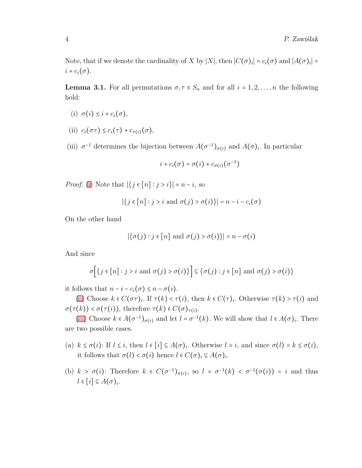Note, that if we denote the cardinality of *X* by |*X*|, then  $|C(\sigma)_i| = c_i(\sigma)$  and  $|A(\sigma)_i| =$  $i + c_i(\sigma)$ .

<span id="page-3-1"></span><span id="page-3-0"></span>**Lemma 3.1.** For all permutations  $\sigma, \tau \in S_n$  and for all  $i = 1, 2, \ldots, n$  the following hold:

- <span id="page-3-2"></span>(i)  $\sigma(i) \leq i + c_i(\sigma)$ ,
- <span id="page-3-3"></span>(ii)  $c_i(\sigma\tau) \leq c_i(\tau) + c_{\tau(i)}(\sigma)$ ,
- (iii)  $\sigma^{-1}$  determines the bijection between  $A(\sigma^{-1})_{\sigma(i)}$  and  $A(\sigma)_i$ . In particular

$$
i + c_i(\sigma) = \sigma(i) + c_{\sigma(i)}(\sigma^{-1})
$$

*Proof.* [\(i\)](#page-3-1) Note that  $|\{j \in [n] : j > i\}| = n - i$ , so

$$
|\{j \in [n] : j > i \text{ and } \sigma(j) > \sigma(i)\}| = n - i - c_i(\sigma)
$$

On the other hand

$$
|\{\sigma(j) : j \in [n] \text{ and } \sigma(j) > \sigma(i)\}| = n - \sigma(i)
$$

And since

$$
\sigma\bigg[\big\{j\in[n]:j>i\text{ and }\sigma(j)>\sigma(i)\big\}\bigg]\subseteq\big\{\sigma(j):j\in[n]\text{ and }\sigma(j)>\sigma(i)\big\}
$$

it follows that  $n - i - c_i(\sigma) \leq n - \sigma(i)$ .

[\(ii\)](#page-3-2) Choose  $k \in C(\sigma \tau)_i$ . If  $\tau(k) < \tau(i)$ , then  $k \in C(\tau)_i$ . Otherwise  $\tau(k) > \tau(i)$  and  $\sigma(\tau(k)) < \sigma(\tau(i))$ , therefore  $\tau(k) \in C(\sigma)_{\tau(i)}$ .

[\(iii\)](#page-3-3) Choose  $k \in A(\sigma^{-1})_{\sigma(i)}$  and let  $l = \sigma^{-1}(k)$ . We will show that  $l \in A(\sigma)$ . There are two possible cases.

- (a)  $k \le \sigma(i)$ : If  $l \le i$ , then  $l \in [i] \subseteq A(\sigma)$ *i*. Otherwise  $l > i$ , and since  $\sigma(l) = k \le \sigma(i)$ , it follows that  $\sigma(l) < \sigma(i)$  hence  $l \in C(\sigma)_i \subseteq A(\sigma)_i$ .
- (b)  $k > \sigma(i)$ : Therefore  $k \in C(\sigma^{-1})_{\sigma(i)}$ , so  $l = \sigma^{-1}(k) < \sigma^{-1}(\sigma(i)) = i$  and thus  $l \in [i] \subseteq A(\sigma)_i$ .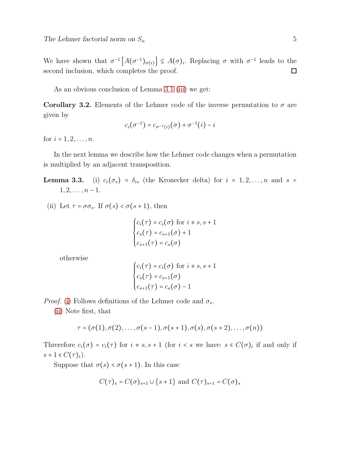We have shown that  $\sigma^{-1}\left[A(\sigma^{-1})_{\sigma(i)}\right] \subseteq A(\sigma)_i$ . Replacing  $\sigma$  with  $\sigma^{-1}$  leads to the second inclusion, which completes the proof.  $\Box$ 

As an obvious conclusion of Lemma [3.1](#page-3-0) [\(iii\)](#page-3-3) we get:

<span id="page-4-0"></span>**Corollary 3.2.** Elements of the Lehmer code of the inverse permutation to  $\sigma$  are given by

$$
c_i(\sigma^{-1}) = c_{\sigma^{-1}(i)}(\sigma) + \sigma^{-1}(i) - i
$$

for  $i = 1, 2, \ldots, n$ .

<span id="page-4-1"></span>In the next lemma we describe how the Lehmer code changes when a permutation is multiplied by an adjacent transposition.

<span id="page-4-2"></span>**Lemma 3.3.** (i)  $c_i(\sigma_s) = \delta_{is}$  (the Kronecker delta) for  $i = 1, 2, \ldots, n$  and  $s =$  $1, 2, \ldots, n-1.$ 

(ii) Let  $\tau = \sigma \sigma_s$ . If  $\sigma(s) < \sigma(s+1)$ , then

$$
\begin{cases} c_i(\tau) = c_i(\sigma) \text{ for } i \neq s, s+1\\ c_s(\tau) = c_{s+1}(\sigma) + 1\\ c_{s+1}(\tau) = c_s(\sigma) \end{cases}
$$

otherwise

$$
\begin{cases} c_i(\tau) = c_i(\sigma) \text{ for } i \neq s, s+1\\ c_s(\tau) = c_{s+1}(\sigma) \\ c_{s+1}(\tau) = c_s(\sigma) - 1 \end{cases}
$$

*Proof.* [\(i\)](#page-4-1) Follows definitions of the Lehmer code and  $\sigma_s$ .

[\(ii\)](#page-4-2) Note first, that

$$
\tau = (\sigma(1), \sigma(2), \ldots, \sigma(s-1), \sigma(s+1), \sigma(s), \sigma(s+2), \ldots, \sigma(n))
$$

Threrefore  $c_i(\sigma) = c_i(\tau)$  for  $i \neq s, s + 1$  (for  $i < s$  we have:  $s \in C(\sigma)_i$  if and only if  $s + 1 \in C(\tau)_i$ ).

Suppose that  $\sigma(s) < \sigma(s+1)$ . In this case

$$
C(\tau)_s = C(\sigma)_{s+1} \cup \{s+1\} \text{ and } C(\tau)_{s+1} = C(\sigma)_s
$$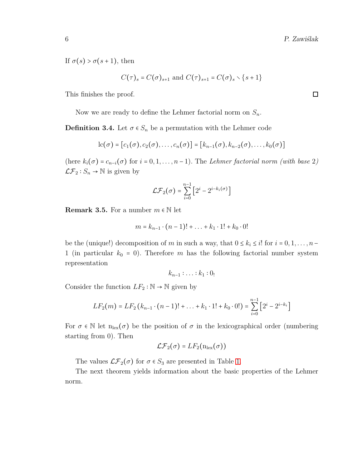If  $\sigma(s) > \sigma(s+1)$ , then

$$
C(\tau)_s = C(\sigma)_{s+1} \text{ and } C(\tau)_{s+1} = C(\sigma)_s \setminus \{s+1\}
$$

This finishes the proof.

Now we are ready to define the Lehmer factorial norm on *Sn*.

**Definition 3.4.** Let  $\sigma \in S_n$  be a permutation with the Lehmer code

$$
lc(\sigma) = [c_1(\sigma), c_2(\sigma), \ldots, c_n(\sigma)] = [k_{n-1}(\sigma), k_{n-2}(\sigma), \ldots, k_0(\sigma)]
$$

(here  $k_i(\sigma) = c_{n-i}(\sigma)$  for  $i = 0, 1, \ldots, n-1$ ). The *Lehmer factorial norm (with base 2)*  $\mathcal{LF}_2: S_n \to \mathbb{N}$  is given by

$$
\mathcal{LF}_2(\sigma) = \sum_{i=0}^{n-1} \left[ 2^i - 2^{i - k_i(\sigma)} \right]
$$

**Remark 3.5.** For a number  $m \in \mathbb{N}$  let

$$
m = k_{n-1} \cdot (n-1)! + \ldots + k_1 \cdot 1! + k_0 \cdot 0!
$$

be the (unique!) decomposition of *m* in such a way, that  $0 \le k_i \le i!$  for  $i = 0, 1, \ldots, n - 1$ 1 (in particular  $k_0 = 0$ ). Therefore  $m$  has the following factorial number system representation

$$
k_{n-1}:\ldots:k_1:0_!
$$

Consider the function  $LF_2 : \mathbb{N} \to \mathbb{N}$  given by

$$
LF_2(m) = LF_2 (k_{n-1} \cdot (n-1)! + ... + k_1 \cdot 1! + k_0 \cdot 0!) = \sum_{i=0}^{n-1} [2^i - 2^{i-k_i}]
$$

For  $\sigma \in \mathbb{N}$  let  $n_{\text{lex}}(\sigma)$  be the position of  $\sigma$  in the lexicographical order (numbering starting from 0). Then

$$
\mathcal{LF}_2(\sigma) = LF_2(n_{\text{lex}}(\sigma))
$$

The values  $\mathcal{LF}_2(\sigma)$  for  $\sigma \in S_3$  are presented in Table [1.](#page-23-0)

The next theorem yields information about the basic properties of the Lehmer norm.

 $\Box$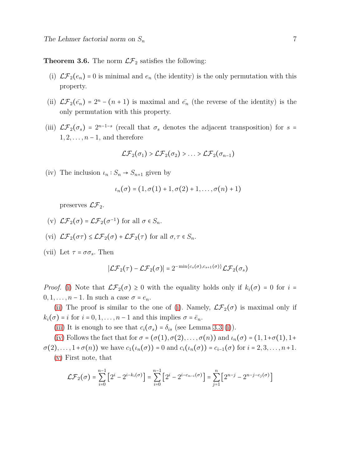<span id="page-6-2"></span><span id="page-6-0"></span>**Theorem 3.6.** The norm  $\mathcal{LF}_2$  satisfies the following:

- <span id="page-6-4"></span>(i)  $\mathcal{LF}_2(e_n) = 0$  is minimal and  $e_n$  (the identity) is the only permutation with this property.
- <span id="page-6-3"></span>(ii)  $\mathcal{LF}_2(\bar{e_n}) = 2^n - (n+1)$  is maximal and  $\bar{e_n}$  (the reverse of the identity) is the only permutation with this property.
- (iii)  $\mathcal{LF}_2(\sigma_s) = 2^{n-1-s}$  (recall that  $\sigma_s$  denotes the adjacent transposition) for  $s =$ 1*,* 2*, . . . , n* − 1, and therefore

$$
\mathcal{LF}_2(\sigma_1) > \mathcal{LF}_2(\sigma_2) > \ldots > \mathcal{LF}_2(\sigma_{n-1})
$$

<span id="page-6-5"></span>(iv) The inclusion  $\iota_n : S_n \to S_{n+1}$  given by

$$
\iota_n(\sigma)=(1,\sigma(1)+1,\sigma(2)+1,\ldots,\sigma(n)+1)
$$

preserves  $\mathcal{LF}_2$ .

- <span id="page-6-7"></span><span id="page-6-6"></span>(v)  $\mathcal{LF}_2(\sigma) = \mathcal{LF}_2(\sigma^{-1})$  for all  $\sigma \in S_n$ .
- <span id="page-6-1"></span>(vi)  $\mathcal{LF}_2(\sigma \tau) \leq \mathcal{LF}_2(\sigma) + \mathcal{LF}_2(\tau)$  for all  $\sigma, \tau \in S_n$ .

(vii) Let  $\tau = \sigma \sigma_s$ . Then

$$
|\mathcal{LF}_2(\tau) - \mathcal{LF}_2(\sigma)| = 2^{-\min\{c_s(\sigma), c_{s+1}(\sigma)\}} \mathcal{LF}_2(\sigma_s)
$$

*Proof.* [\(i\)](#page-6-0) Note that  $\mathcal{LF}_2(\sigma) \geq 0$  with the equality holds only if  $k_i(\sigma) = 0$  for  $i =$  $0, 1, \ldots, n-1$ . In such a case  $\sigma = e_n$ .

[\(ii\)](#page-6-4) The proof is similar to the one of [\(i\)](#page-6-0). Namely,  $\mathcal{LF}_2(\sigma)$  is maximal only if  $k_i(\sigma) = i$  for  $i = 0, 1, \ldots, n-1$  and this implies  $\sigma = \bar{e}_n$ .

[\(iii\)](#page-6-3) It is enough to see that  $c_i(\sigma_s) = \delta_{is}$  (see Lemma 3.3 [\(i\)](#page-4-1)).

[\(iv\)](#page-6-5) Follows the fact that for  $\sigma = (\sigma(1), \sigma(2), \ldots, \sigma(n))$  and  $\iota_n(\sigma) = (1, 1+\sigma(1), 1+\sigma(1))$  $\sigma(2), \ldots, 1 + \sigma(n)$  we have  $c_1(\iota_n(\sigma)) = 0$  and  $c_i(\iota_n(\sigma)) = c_{i-1}(\sigma)$  for  $i = 2, 3, \ldots, n+1$ . [\(v\)](#page-6-6) First note, that

$$
\mathcal{LF}_2(\sigma) = \sum_{i=0}^{n-1} \left[ 2^i - 2^{i-k_i(\sigma)} \right] = \sum_{i=0}^{n-1} \left[ 2^i - 2^{i-c_{n-i}(\sigma)} \right] = \sum_{j=1}^{n} \left[ 2^{n-j} - 2^{n-j-c_j(\sigma)} \right]
$$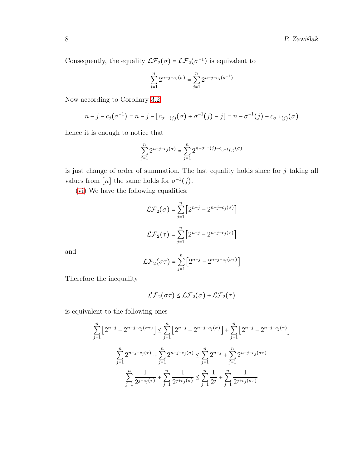Consequently, the equality  $\mathcal{LF}_2(\sigma) = \mathcal{LF}_2(\sigma^{-1})$  is equivalent to

$$
\sum_{j=1}^{n} 2^{n-j-c_j(\sigma)} = \sum_{j=1}^{n} 2^{n-j-c_j(\sigma^{-1})}
$$

Now according to Corollary [3.2](#page-4-0)

$$
n-j-c_j(\sigma^{-1})=n-j-[c_{\sigma^{-1}(j)}(\sigma)+\sigma^{-1}(j)-j]=n-\sigma^{-1}(j)-c_{\sigma^{-1}(j)}(\sigma)
$$

hence it is enough to notice that

$$
\sum_{j=1}^{n} 2^{n-j-c_j(\sigma)} = \sum_{j=1}^{n} 2^{n-\sigma^{-1}(j)-c_{\sigma^{-1}(j)}(\sigma)}
$$

is just change of order of summation. The last equality holds since for *j* taking all values from  $[n]$  the same holds for  $\sigma^{-1}(j)$ .

[\(vi\)](#page-6-7) We have the following equalities:

$$
\mathcal{LF}_2(\sigma) = \sum_{j=1}^{n} \left[ 2^{n-j} - 2^{n-j-c_j(\sigma)} \right]
$$

$$
\mathcal{LF}_2(\tau) = \sum_{j=1}^{n} \left[ 2^{n-j} - 2^{n-j-c_j(\tau)} \right]
$$

and

$$
\mathcal{LF}_2(\sigma \tau) = \sum_{j=1}^n \left[ 2^{n-j} - 2^{n-j-c_j(\sigma \tau)} \right]
$$

Therefore the inequality

$$
\mathcal{LF}_2(\sigma\tau) \leq \mathcal{LF}_2(\sigma) + \mathcal{LF}_2(\tau)
$$

is equivalent to the following ones

$$
\sum_{j=1}^{n} \left[ 2^{n-j} - 2^{n-j-c_j(\sigma \tau)} \right] \le \sum_{j=1}^{n} \left[ 2^{n-j} - 2^{n-j-c_j(\sigma)} \right] + \sum_{j=1}^{n} \left[ 2^{n-j} - 2^{n-j-c_j(\tau)} \right]
$$

$$
\sum_{j=1}^{n} 2^{n-j-c_j(\tau)} + \sum_{j=1}^{n} 2^{n-j-c_j(\sigma)} \le \sum_{j=1}^{n} 2^{n-j} + \sum_{j=1}^{n} 2^{n-j-c_j(\sigma \tau)}
$$

$$
\sum_{j=1}^{n} \frac{1}{2^{j+c_j(\tau)}} + \sum_{j=1}^{n} \frac{1}{2^{j+c_j(\sigma)}} \le \sum_{j=1}^{n} \frac{1}{2^{j}} + \sum_{j=1}^{n} \frac{1}{2^{j+c_j(\sigma \tau)}}
$$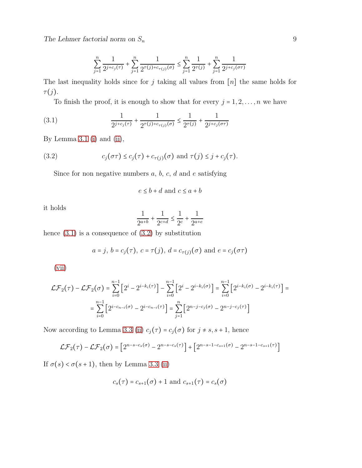The Lehmer factorial norm on  $S_n$  9

$$
\sum_{j=1}^n \frac{1}{2^{j+c_j(\tau)}} + \sum_{j=1}^n \frac{1}{2^{\tau(j)+c_{\tau(j)}(\sigma)}} \leq \sum_{j=1}^n \frac{1}{2^{\tau(j)}} + \sum_{j=1}^n \frac{1}{2^{j+c_j(\sigma \tau)}}
$$

The last inequality holds since for *j* taking all values from [*n*] the same holds for *τ*(*j*).

<span id="page-8-0"></span>To finish the proof, it is enough to show that for every  $j = 1, 2, \ldots, n$  we have

(3.1) 
$$
\frac{1}{2^{j+c_j(\tau)}} + \frac{1}{2^{\tau(j)+c_{\tau(j)}(\sigma)}} \le \frac{1}{2^{\tau(j)}} + \frac{1}{2^{j+c_j(\sigma\tau)}}
$$

By Lemma [3.1](#page-3-0) [\(i\)](#page-3-1) and [\(ii\)](#page-3-2),

(3.2) 
$$
c_j(\sigma\tau) \le c_j(\tau) + c_{\tau(j)}(\sigma) \text{ and } \tau(j) \le j + c_j(\tau).
$$

Since for non negative numbers *a*, *b*, *c*, *d* and *e* satisfying

<span id="page-8-1"></span>
$$
e \le b + d \text{ and } c \le a + b
$$

it holds

$$
\frac{1}{2^{a+b}}+\frac{1}{2^{c+d}}\leq \frac{1}{2^c}+\frac{1}{2^{a+e}}
$$

hence  $(3.1)$  is a consequence of  $(3.2)$  by substitution

$$
a = j, b = c_j(\tau), c = \tau(j), d = c_{\tau(j)}(\sigma)
$$
 and  $e = c_j(\sigma \tau)$ 

[\(vii\)](#page-6-1)

$$
\mathcal{LF}_2(\tau) - \mathcal{LF}_2(\sigma) = \sum_{i=0}^{n-1} \left[ 2^i - 2^{i-k_i(\tau)} \right] - \sum_{i=0}^{n-1} \left[ 2^i - 2^{i-k_i(\sigma)} \right] = \sum_{i=0}^{n-1} \left[ 2^{i-k_i(\sigma)} - 2^{i-k_i(\tau)} \right] = \sum_{i=0}^{n-1} \left[ 2^{i-c_{n-i}(\sigma)} - 2^{i-c_{n-i}(\tau)} \right] = \sum_{j=1}^{n} \left[ 2^{n-j-c_j(\sigma)} - 2^{n-j-c_j(\tau)} \right]
$$

Now according to Lemma 3.3 [\(ii\)](#page-4-2)  $c_j(\tau) = c_j(\sigma)$  for  $j \neq s, s + 1$ , hence

$$
\mathcal{LF}_2(\tau) - \mathcal{LF}_2(\sigma) = \left[2^{n-s-c_s(\sigma)} - 2^{n-s-c_s(\tau)}\right] + \left[2^{n-s-1-c_{s+1}(\sigma)} - 2^{n-s-1-c_{s+1}(\tau)}\right]
$$

If  $\sigma(s) < \sigma(s+1)$ , then by Lemma 3.3 [\(ii\)](#page-4-2)

$$
c_s(\tau) = c_{s+1}(\sigma) + 1
$$
 and 
$$
c_{s+1}(\tau) = c_s(\sigma)
$$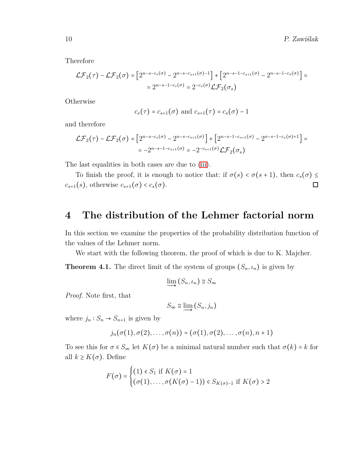Therefore

$$
\mathcal{LF}_2(\tau) - \mathcal{LF}_2(\sigma) = \left[2^{n-s-c_s(\sigma)} - 2^{n-s-c_{s+1}(\sigma)-1}\right] + \left[2^{n-s-1-c_{s+1}(\sigma)} - 2^{n-s-1-c_s(\sigma)}\right] =
$$
  
= 
$$
2^{n-s-1-c_s(\sigma)} = 2^{-c_s(\sigma)} \mathcal{LF}_2(\sigma_s)
$$

**Otherwise** 

$$
c_s(\tau) = c_{s+1}(\sigma)
$$
 and  $c_{s+1}(\tau) = c_s(\sigma) - 1$ 

and therefore

$$
\mathcal{LF}_2(\tau) - \mathcal{LF}_2(\sigma) = \left[ 2^{n-s-c_s(\sigma)} - 2^{n-s-c_{s+1}(\sigma)} \right] + \left[ 2^{n-s-1-c_{s+1}(\sigma)} - 2^{n-s-1-c_s(\sigma)+1} \right] =
$$
  
= -2<sup>n-s-1-c\_{s+1}(\sigma)</sup> = -2<sup>-c\_{s+1}(\sigma) \mathcal{LF}\_2(\sigma\_s)</sup>

The last equalities in both cases are due to [\(iii\)](#page-6-3).

To finish the proof, it is enough to notice that: if  $\sigma(s) < \sigma(s+1)$ , then  $c_s(\sigma) \le$  $c_{s+1}(s)$ , otherwise  $c_{s+1}(\sigma) < c_s(\sigma)$ .  $\Box$ 

### <span id="page-9-0"></span>**4 The distribution of the Lehmer factorial norm**

In this section we examine the properties of the probability distribution function of the values of the Lehmer norm.

We start with the following theorem, the proof of which is due to K. Majcher.

<span id="page-9-1"></span>**Theorem 4.1.** The direct limit of the system of groups  $(S_n, \iota_n)$  is given by

$$
\varinjlim (S_n, \iota_n) \cong S_\infty
$$

*Proof.* Note first, that

$$
S_{\infty} \cong \varinjlim \left( S_n, j_n \right)
$$

where  $j_n: S_n \to S_{n+1}$  is given by

$$
j_n(\sigma(1),\sigma(2),\ldots,\sigma(n))=(\sigma(1),\sigma(2),\ldots,\sigma(n),n+1)
$$

To see this for  $\sigma \in S_{\infty}$  let  $K(\sigma)$  be a minimal natural number such that  $\sigma(k) = k$  for all  $k \geq K(\sigma)$ . Define

$$
F(\sigma) = \begin{cases} (1) \in S_1 \text{ if } K(\sigma) = 1 \\ (\sigma(1), \dots, \sigma(K(\sigma) - 1)) \in S_{K(\sigma) - 1} \text{ if } K(\sigma) > 2 \end{cases}
$$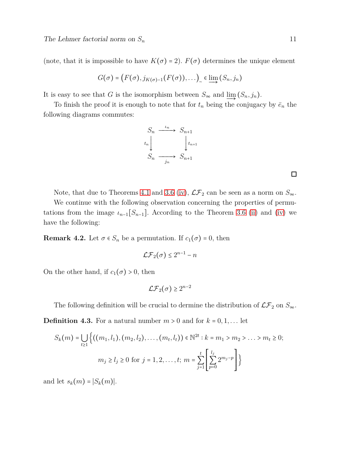(note, that it is impossible to have  $K(\sigma) = 2$ ).  $F(\sigma)$  determines the unique element

$$
G(\sigma) = (F(\sigma), j_{K(\sigma)-1}(F(\sigma)), \ldots) \underset{\sim}{\sim} \epsilon \underline{\lim} (S_n, j_n)
$$

It is easy to see that *G* is the isomorphism between  $S_{\infty}$  and  $\lim_{n \to \infty} (S_n, j_n)$ .

To finish the proof it is enough to note that for  $t_n$  being the conjugacy by  $\bar{e}_n$  the following diagrams commutes:



Note, that due to Theorems [4.1](#page-9-1) and [3.6](#page-6-2) [\(iv\)](#page-6-5),  $\mathcal{LF}_2$  can be seen as a norm on  $S_{\infty}$ .

We continue with the following observation concerning the properties of permutations from the image  $\iota_{n-1}[S_{n-1}]$ . According to the Theorem [3.6](#page-6-2) [\(ii\)](#page-6-4) and [\(iv\)](#page-6-5) we have the following:

**Remark 4.2.** Let  $\sigma \in S_n$  be a permutation. If  $c_1(\sigma) = 0$ , then

$$
\mathcal{LF}_2(\sigma) \le 2^{n-1} - n
$$

On the other hand, if  $c_1(\sigma) > 0$ , then

$$
\mathcal{LF}_2(\sigma) \ge 2^{n-2}
$$

The following definition will be crucial to dermine the distribution of  $\mathcal{LF}_2$  on  $S_{\infty}$ .

**Definition 4.3.** For a natural number  $m > 0$  and for  $k = 0, 1, \ldots$  let

$$
S_k(m) = \bigcup_{t \ge 1} \left\{ ((m_1, l_1), (m_2, l_2), \dots, (m_t, l_t)) \in \mathbb{N}^{2t} : k = m_1 > m_2 > \dots > m_t \ge 0; \right\}
$$

$$
m_j \ge l_j \ge 0 \text{ for } j = 1, 2, \dots, t; m = \sum_{j=1}^t \left[ \sum_{p=0}^{l_j} 2^{m_j - p} \right] \right\}
$$

and let  $s_k(m) = |S_k(m)|$ .

 $\Box$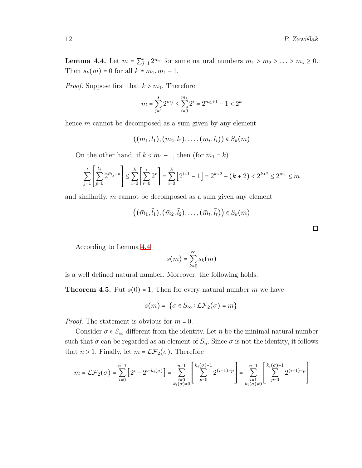<span id="page-11-1"></span>**Lemma 4.4.** Let  $m = \sum_{j=1}^{s} 2^{m_j}$  for some natural numbers  $m_1 > m_2 > \ldots > m_s \ge 0$ . Then  $s_k(m) = 0$  for all  $k \neq m_1, m_1 - 1$ .

*Proof.* Suppose first that  $k > m_1$ . Therefore

$$
m = \sum_{j=1}^{s} 2^{m_j} \le \sum_{i=0}^{m_1} 2^i = 2^{m_1+1} - 1 < 2^k
$$

hence *m* cannot be decomposed as a sum given by any element

$$
((m_1, l_1), (m_2, l_2), \ldots, (m_t, l_t)) \in S_k(m)
$$

On the other hand, if  $k < m_1 - 1$ , then (for  $\bar{m}_1 = k$ )

$$
\sum_{j=1}^t \left[ \sum_{p=0}^{\bar{l}_j} 2^{\bar{m}_j-p} \right] \le \sum_{i=0}^k \left[ \sum_{r=0}^i 2^r \right] = \sum_{i=0}^k \left[ 2^{i+1} - 1 \right] = 2^{k+2} - (k+2) < 2^{k+2} \le 2^{m_1} \le m
$$

and similarily, *m* cannot be decomposed as a sum given any element

$$
((\bar{m}_1, \bar{l}_1), (\bar{m}_2, \bar{l}_2), \ldots, (\bar{m}_t, \bar{l}_t)) \in S_k(m)
$$

According to Lemma [4.4](#page-11-1)

$$
s(m) = \sum_{k=0}^{\infty} s_k(m)
$$

is a well defined natural number. Moreover, the following holds:

<span id="page-11-0"></span>**Theorem 4.5.** Put  $s(0) = 1$ . Then for every natural number *m* we have

$$
s(m) = |\{\sigma \in S_{\infty} : \mathcal{LF}_2(\sigma) = m\}|
$$

*Proof.* The statement is obvious for *m* = 0.

Consider  $\sigma \in S_{\infty}$  different from the identity. Let *n* be the minimal natural number such that  $\sigma$  can be regarded as an element of  $S_n$ . Since  $\sigma$  is not the identity, it follows that  $n > 1$ . Finally, let  $m = \mathcal{LF}_2(\sigma)$ . Therefore

$$
m = \mathcal{LF}_2(\sigma) = \sum_{i=0}^{n-1} \left[ 2^i - 2^{i-k_i(\sigma)} \right] = \sum_{\substack{i=0 \\ k_i(\sigma) \neq 0}}^{n-1} \left[ \sum_{p=0}^{k_i(\sigma)-1} 2^{(i-1)-p} \right] = \sum_{\substack{i=1 \\ k_i(\sigma) \neq 0}}^{n-1} \left[ \sum_{p=0}^{k_i(\sigma)-1} 2^{(i-1)-p} \right]
$$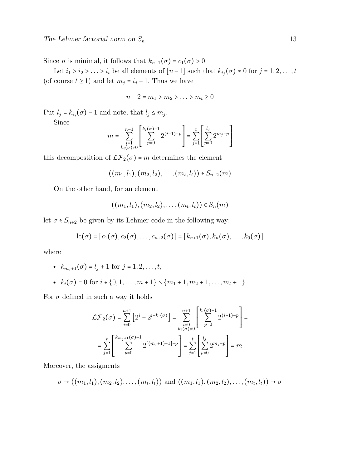Since *n* is minimal, it follows that  $k_{n-1}(\sigma) = c_1(\sigma) > 0$ .

Let  $i_1 > i_2 > \ldots > i_t$  be all elements of  $[n-1]$  such that  $k_{i_j}(\sigma) \neq 0$  for  $j = 1, 2, \ldots, t$ (of course  $t \ge 1$ ) and let  $m_j = i_j - 1$ . Thus we have

$$
n-2=m_1>m_2>\ldots>m_t\geq 0
$$

Put  $l_j = k_{i_j}(\sigma) - 1$  and note, that  $l_j \leq m_j$ .

Since

$$
m = \sum_{\substack{i=1 \ k_i(\sigma) \neq 0}}^{n-1} \left[ \sum_{p=0}^{k_i(\sigma)-1} 2^{(i-1)-p} \right] = \sum_{j=1}^t \left[ \sum_{p=0}^{l_j} 2^{m_j-p} \right]
$$

this decomposition of  $\mathcal{LF}_2(\sigma) = m$  determines the element

$$
((m_1, l_1), (m_2, l_2), \ldots, (m_t, l_t)) \in S_{n-2}(m)
$$

On the other hand, for an element

$$
((m_1, l_1), (m_2, l_2), \ldots, (m_t, l_t)) \in S_n(m)
$$

let  $\sigma \in S_{n+2}$  be given by its Lehmer code in the following way:

$$
lc(\sigma) = [c_1(\sigma), c_2(\sigma), \ldots, c_{n+2}(\sigma)] = [k_{n+1}(\sigma), k_n(\sigma), \ldots, k_0(\sigma)]
$$

where

- $k_{m_i+1}(\sigma) = l_i + 1$  for  $j = 1, 2, ..., t$ ,
- $k_i(\sigma) = 0$  for  $i \in \{0, 1, \ldots, m+1\} \setminus \{m_1 + 1, m_2 + 1, \ldots, m_t + 1\}$

For  $\sigma$  defined in such a way it holds

$$
\mathcal{LF}_2(\sigma) = \sum_{i=0}^{n+1} \left[ 2^i - 2^{i-k_i(\sigma)} \right] = \sum_{\substack{i=0 \\ k_i(\sigma) \neq 0}}^{n+1} \left[ \sum_{p=0}^{k_i(\sigma)-1} 2^{(i-1)-p} \right] = \sum_{j=1}^t \left[ \sum_{p=0}^{k_i(\sigma)-1} 2^{(i-1)-p} \right] = \sum_{j=1}^t \left[ \sum_{p=0}^{k_j(\sigma)-1} 2^{m_j - p} \right] = m
$$

Moreover, the assigments

$$
\sigma \rightarrow ((m_1, l_1), (m_2, l_2), \ldots, (m_t, l_t))
$$
 and  $((m_1, l_1), (m_2, l_2), \ldots, (m_t, l_t)) \rightarrow \sigma$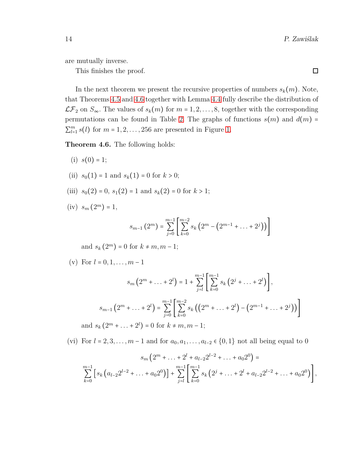are mutually inverse.

This finishes the proof.

In the next theorem we present the recursive properties of numbers  $s_k(m)$ . Note, that Theorems [4.5](#page-11-0) and [4.6](#page-13-0) together with Lemma [4.4](#page-11-1) fully describe the distribution of  $\mathcal{LF}_2$  on  $S_{\infty}$ . The values of  $s_k(m)$  for  $m = 1, 2, ..., 8$ , together with the corresponding permutations can be found in Table [2.](#page-23-1) The graphs of functions  $s(m)$  and  $d(m)$  =  $\sum_{l=1}^{m} s(l)$  for  $m = 1, 2, \ldots, 256$  are presented in Figure [1.](#page-24-0)

<span id="page-13-1"></span><span id="page-13-0"></span>**Theorem 4.6.** The following holds:

- <span id="page-13-2"></span>(i)  $s(0) = 1$ ;
- <span id="page-13-3"></span>(ii)  $s_0(1) = 1$  and  $s_k(1) = 0$  for  $k > 0$ ;
- <span id="page-13-4"></span>(iii)  $s_0(2) = 0$ ,  $s_1(2) = 1$  and  $s_k(2) = 0$  for  $k > 1$ ;
- $(iv)$  *s<sub>m</sub>*  $(2^m) = 1$ ,

$$
s_{m-1}(2^m) = \sum_{j=0}^{m-1} \left[ \sum_{k=0}^{m-2} s_k \left( 2^m - \left( 2^{m-1} + \ldots + 2^j \right) \right) \right]
$$

and  $s_k(2^m) = 0$  for  $k \neq m, m - 1$ ;

<span id="page-13-5"></span>(v) For 
$$
l = 0, 1, ..., m - 1
$$

$$
s_m\left(2^m + \ldots + 2^l\right) = 1 + \sum_{j=l}^{m-1} \left[ \sum_{k=0}^{m-1} s_k \left(2^j + \ldots + 2^l\right) \right],
$$
  
\n
$$
s_{m-1}\left(2^m + \ldots + 2^l\right) = \sum_{j=0}^{m-1} \left[ \sum_{k=0}^{m-2} s_k \left( \left(2^m + \ldots + 2^l\right) - \left(2^{m-1} + \ldots + 2^j\right) \right) \right]
$$
  
\nand  $s_k\left(2^m + \ldots + 2^l\right) = 0$  for  $k \neq m, m-1$ ;

<span id="page-13-6"></span>(vi) For  $l = 2, 3, ..., m - 1$  and for  $a_0, a_1, ..., a_{l-2} \in \{0, 1\}$  not all being equal to 0

$$
s_m\left(2^m+\ldots+2^l+a_{l-2}2^{l-2}+\ldots+a_02^0\right)=
$$
  

$$
\sum_{k=0}^{m-1}\left[s_k\left(a_{l-2}2^{l-2}+\ldots+a_02^0\right)\right]+\sum_{j=l}^{m-1}\left[\sum_{k=0}^{m-1}s_k\left(2^j+\ldots+2^l+a_{l-2}2^{l-2}+\ldots+a_02^0\right)\right],
$$

 $\Box$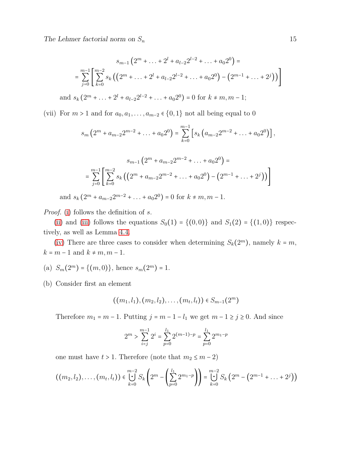$$
s_{m-1} (2^m + \dots + 2^l + a_{l-2} 2^{l-2} + \dots + a_0 2^0) =
$$
  
= 
$$
\sum_{j=0}^{m-1} \left[ \sum_{k=0}^{m-2} s_k ((2^m + \dots + 2^l + a_{l-2} 2^{l-2} + \dots + a_0 2^0) - (2^{m-1} + \dots + 2^j)) \right]
$$
  
and 
$$
s_k (2^m + \dots + 2^l + a_{l-2} 2^{l-2} + \dots + a_0 2^0) = 0 \text{ for } k \neq m, m-1;
$$

<span id="page-14-0"></span>(vii) For  $m > 1$  and for  $a_0, a_1, \ldots, a_{m-2} \in \{0, 1\}$  not all being equal to 0

$$
s_m\left(2^m + a_{m-2}2^{m-2} + \ldots + a_02^0\right) = \sum_{k=0}^{m-1} \left[ s_k \left( a_{m-2}2^{m-2} + \ldots + a_02^0 \right) \right],
$$

$$
s_{m-1} \left( 2^m + a_{m-2} 2^{m-2} + \dots + a_0 2^0 \right) =
$$
  
= 
$$
\sum_{j=0}^{m-1} \left[ \sum_{k=0}^{m-2} s_k \left( \left( 2^m + a_{m-2} 2^{m-2} + \dots + a_0 2^0 \right) - \left( 2^{m-1} + \dots + 2^j \right) \right) \right]
$$
  
and 
$$
s_k \left( 2^m + a_{m-2} 2^{m-2} + \dots + a_0 2^0 \right) = 0 \text{ for } k \neq m, m-1.
$$

*Proof.* [\(i\)](#page-13-1) follows the definition of *s*.

[\(ii\)](#page-13-2) and [\(iii\)](#page-13-3) follows the equations  $S_0(1) = \{(0,0)\}\$  and  $S_1(2) = \{(1,0)\}\$  respectively, as well as Lemma [4.4.](#page-11-1)

[\(iv\)](#page-13-4) There are three cases to consider when determining  $S_k(2^m)$ , namely  $k = m$ ,  $k = m - 1$  and  $k \neq m, m - 1$ .

(a)  $S_m(2^m) = \{(m, 0)\}\text{, hence } s_m(2^m) = 1.$ 

(b) Consider first an element

$$
((m_1,l_1),(m_2,l_2),\ldots,(m_t,l_t))\in S_{m-1}(2^m)
$$

Therefore  $m_1 = m - 1$ . Putting  $j = m - 1 - l_1$  we get  $m - 1 \ge j \ge 0$ . And since

$$
2^m > \sum_{i=j}^{m-1} 2^i = \sum_{p=0}^{l_1} 2^{(m-1)-p} = \sum_{p=0}^{l_1} 2^{m_1-p}
$$

one must have  $t > 1$ . Therefore (note that  $m_2 \le m - 2$ )

$$
((m_2, l_2), \ldots, (m_t, l_t)) \in \bigcup_{k=0}^{m-2} S_k \left(2^m - \left(\sum_{p=0}^{l_1} 2^{m_1-p}\right)\right) = \bigcup_{k=0}^{m-2} S_k \left(2^m - \left(2^{m-1} + \ldots + 2^j\right)\right)
$$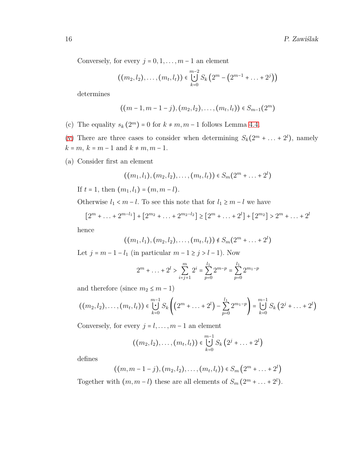Conversely, for every  $j = 0, 1, \ldots, m - 1$  an element

$$
((m_2, l_2),..., (m_t, l_t)) \in \bigcup_{k=0}^{m-2} S_k (2^m - (2^{m-1} + ... + 2^j))
$$

determines

$$
((m-1, m-1-j), (m_2, l_2), \ldots, (m_t, l_t)) \in S_{m-1}(2^m)
$$

- (c) The equality  $s_k(2^m) = 0$  for  $k \neq m, m-1$  follows Lemma [4.4.](#page-11-1)
- [\(v\)](#page-13-5) There are three cases to consider when determining  $S_k(2^m + \ldots + 2^l)$ , namely  $k = m, k = m - 1$  and  $k \neq m, m - 1$ .
- (a) Consider first an element

$$
((m_1, l_1), (m_2, l_2), \ldots, (m_t, l_t)) \in S_m(2^m + \ldots + 2^l)
$$

If  $t = 1$ , then  $(m_1, l_1) = (m, m - l)$ .

Otherwise  $l_1 < m - l$ . To see this note that for  $l_1 \ge m - l$  we have

$$
[2m + ... + 2m-l1] + [2m2 + ... + 2m2-l2] \ge [2m + ... + 2l] + [2m2] > 2m + ... + 2l
$$

hence

$$
((m_1, l_1), (m_2, l_2), \ldots, (m_t, l_t)) \notin S_m(2^m + \ldots + 2^l)
$$

Let  $j = m - 1 - l_1$  (in particular  $m - 1 \ge j > l - 1$ ). Now

$$
2^{m} + \ldots + 2^{l} > \sum_{i=j+1}^{m} 2^{i} = \sum_{p=0}^{l_1} 2^{m-p} = \sum_{p=0}^{l_1} 2^{m_1-p}
$$

and therefore (since  $m_2 \leq m-1$ )

$$
((m_2, l_2), \ldots, (m_t, l_t)) \in \bigcup_{k=0}^{m-1} S_k \left( \left(2^m + \ldots + 2^l\right) - \sum_{p=0}^{l_1} 2^{m_1-p} \right) = \bigcup_{k=0}^{m-1} S_k \left( 2^j + \ldots + 2^l \right)
$$

Conversely, for every  $j = l, \ldots, m - 1$  an element

$$
((m_2, l_2),..., (m_t, l_t)) \in \bigcup_{k=0}^{m-1} S_k (2^j + ... + 2^l)
$$

defines

$$
((m,m-1-j),(m_2,l_2),..., (m_t,l_t)) \in S_m(2^m + ... + 2^l)
$$

Together with  $(m, m-l)$  these are all elements of  $S_m(2^m + ... + 2^l)$ .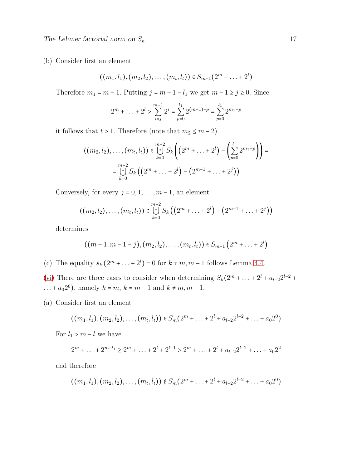The Lehmer factorial norm on  $S_n$  17

(b) Consider first an element

$$
((m_1, l_1), (m_2, l_2), \ldots, (m_t, l_t)) \in S_{m-1}(2^m + \ldots + 2^l)
$$

Therefore  $m_1 = m - 1$ . Putting  $j = m - 1 - l_1$  we get  $m - 1 \ge j \ge 0$ . Since

$$
2^{m} + \ldots + 2^{l} > \sum_{i=j}^{m-1} 2^{i} = \sum_{p=0}^{l_1} 2^{(m-1)-p} = \sum_{p=0}^{l_1} 2^{m_1-p}
$$

it follows that  $t > 1$ . Therefore (note that  $m_2 \le m - 2$ )

$$
((m_2, l_2), \ldots, (m_t, l_t)) \in \bigcup_{k=0}^{m-2} S_k \left( \left( 2^m + \ldots + 2^l \right) - \left( \sum_{p=0}^{l_1} 2^{m_1 - p} \right) \right) =
$$
  
= 
$$
\bigcup_{k=0}^{m-2} S_k \left( \left( 2^m + \ldots + 2^l \right) - \left( 2^{m-1} + \ldots + 2^j \right) \right)
$$

Conversely, for every  $j = 0, 1, \ldots, m - 1$ , an element

$$
((m_2, l_2),..., (m_t, l_t)) \in \bigcup_{k=0}^{m-2} S_k ((2^m + ... + 2^l) - (2^{m-1} + ... + 2^j))
$$

determines

$$
((m-1, m-1-j), (m_2, l_2), \ldots, (m_t, l_t)) \in S_{m-1}(2^m + \ldots + 2^l)
$$

(c) The equality  $s_k (2^m + ... + 2^l) = 0$  for  $k \neq m, m - 1$  follows Lemma [4.4.](#page-11-1)

[\(vi\)](#page-13-6) There are three cases to consider when determining  $S_k(2^m + ... + 2^l + a_{l-2}2^{l-2} + ...)$ ... +  $a_0 2^0$ , namely  $k = m$ ,  $k = m - 1$  and  $k \neq m, m - 1$ .

(a) Consider first an element

$$
((m_1, l_1), (m_2, l_2), \ldots, (m_t, l_t)) \in S_m(2^m + \ldots + 2^l + a_{l-2}2^{l-2} + \ldots + a_0 2^0)
$$

For  $l_1 > m - l$  we have

$$
2^{m} + \ldots + 2^{m-l_1} \ge 2^{m} + \ldots + 2^{l} + 2^{l-1} > 2^{m} + \ldots + 2^{l} + a_{l-2}2^{l-2} + \ldots + a_0 2^2
$$

and therefore

$$
((m_1, l_1), (m_2, l_2), \ldots, (m_t, l_t)) \notin S_m(2^m + \ldots + 2^l + a_{l-2}2^{l-2} + \ldots + a_0 2^0)
$$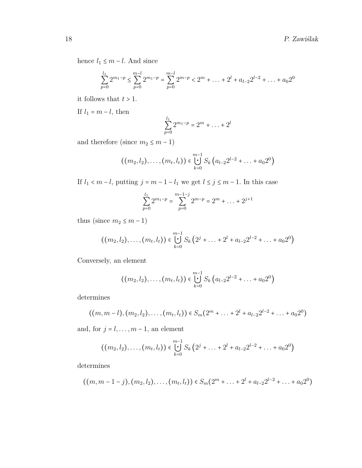hence  $l_1 \leq m - l$ . And since

$$
\sum_{p=0}^{l_1} 2^{m_1-p} \le \sum_{p=0}^{m-l} 2^{m_1-p} = \sum_{p=0}^{m-l} 2^{m-p} < 2^m + \dots + 2^l + a_{l-2} 2^{l-2} + \dots + a_0 2^0
$$

it follows that  $t > 1$ .

If  $l_1=m-l,$  then

$$
\sum_{p=0}^{l_1} 2^{m_1-p} = 2^m + \ldots + 2^l
$$

and therefore (since  $m_2 \leq m-1$ )

$$
((m_2, l_2),..., (m_t, l_t)) \in \bigcup_{k=0}^{m-1} S_k (a_{l-2}2^{l-2} + ... + a_0 2^0)
$$

If  $l_1$  <  $m$  −  $l$ , putting  $j$  =  $m$  −  $1$  −  $l_1$  we get  $l ≤ j ≤ m - 1$ . In this case

$$
\sum_{p=0}^{l_1} 2^{m_1-p} = \sum_{p=0}^{m-1-j} 2^{m-p} = 2^m + \dots + 2^{j+1}
$$

thus (since  $m_2 \le m - 1$ )

$$
((m_2, l_2),..., (m_t, l_t)) \in \bigcup_{k=0}^{m-1} S_k (2^j + ... + 2^l + a_{l-2} 2^{l-2} + ... + a_0 2^0)
$$

Conversely, an element

$$
((m_2, l_2),..., (m_t, l_t)) \in \bigcup_{k=0}^{m-1} S_k (a_{l-2}2^{l-2} + ... + a_0 2^0)
$$

determines

$$
((m, m-l), (m_2, l_2),..., (m_t, l_t)) \in S_m(2^m + ... + 2^l + a_{l-2}2^{l-2} + ... + a_0 2^0)
$$

and, for  $j = l, \ldots, m - 1$ , an element

$$
((m_2, l_2),..., (m_t, l_t)) \in \bigcup_{k=0}^{m-1} S_k (2^j + ... + 2^l + a_{l-2} 2^{l-2} + ... + a_0 2^0)
$$

determines

$$
((m,m-1-j),(m_2,l_2),..., (m_t,l_t)) \in S_m(2^m+...+2^l+a_{l-2}2^{l-2}+...+a_02^0)
$$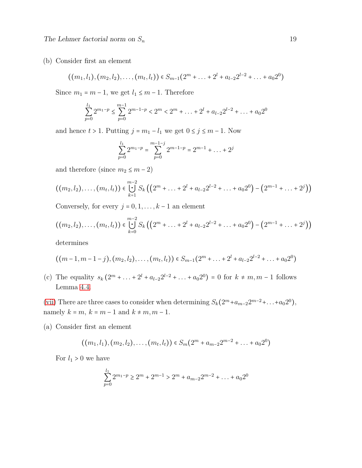(b) Consider first an element

$$
((m_1, l_1), (m_2, l_2), \ldots, (m_t, l_t)) \in S_{m-1}(2^m + \ldots + 2^l + a_{l-2}2^{l-2} + \ldots + a_0 2^0)
$$

Since  $m_1 = m - 1$ , we get  $l_1 \leq m - 1$ . Therefore

$$
\sum_{p=0}^{l_1} 2^{m_1-p} \le \sum_{p=0}^{m-1} 2^{m-1-p} < 2^m < 2^m + \dots + 2^l + a_{l-2} 2^{l-2} + \dots + a_0 2^0
$$

and hence  $t > 1$ . Putting  $j = m_1 - l_1$  we get  $0 \le j \le m - 1$ . Now

$$
\sum_{p=0}^{l_1} 2^{m_1-p} = \sum_{p=0}^{m-1-j} 2^{m-1-p} = 2^{m-1} + \dots + 2^j
$$

and therefore (since  $m_2 \leq m-2$ )

$$
((m_2, l_2),..., (m_t, l_t)) \in \bigcup_{k=1}^{m-2} S_k ((2^m + ... + 2^l + a_{l-2}2^{l-2} + ... + a_0 2^0) - (2^{m-1} + ... + 2^j))
$$

Conversely, for every  $j = 0, 1, \ldots, k - 1$  an element

$$
((m_2, l_2),..., (m_t, l_t)) \in \bigcup_{k=0}^{m-2} S_k ((2^m + ... + 2^l + a_{l-2}2^{l-2} + ... + a_0 2^0) - (2^{m-1} + ... + 2^j))
$$

determines

$$
((m-1, m-1-j), (m_2, l_2), ..., (m_t, l_t)) \in S_{m-1}(2^m + ... + 2^l + a_{l-2}2^{l-2} + ... + a_0 2^0)
$$

(c) The equality  $s_k(2^m + ... + 2^l + a_{l-2}2^{l-2} + ... + a_02^0) = 0$  for  $k \neq m, m-1$  follows Lemma [4.4.](#page-11-1)

[\(vii\)](#page-14-0) There are three cases to consider when determining  $S_k(2^m+a_{m-2}2^{m-2}+\ldots+a_02^0)$ , namely  $k = m$ ,  $k = m - 1$  and  $k \neq m, m - 1$ .

(a) Consider first an element

$$
((m_1, l_1), (m_2, l_2), \ldots, (m_t, l_t)) \in S_m(2^m + a_{m-2}2^{m-2} + \ldots + a_0 2^0)
$$

For  $l_1 > 0$  we have

$$
\sum_{p=0}^{l_1} 2^{m_1-p} \ge 2^m + 2^{m-1} > 2^m + a_{m-2}2^{m-2} + \dots + a_0 2^0
$$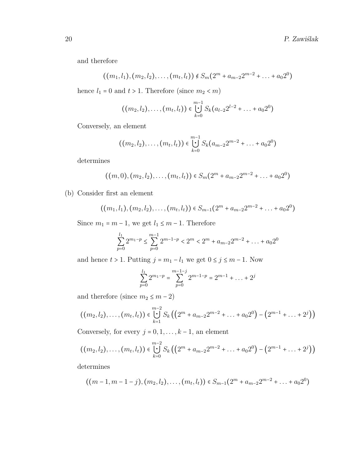and therefore

$$
((m_1, l_1), (m_2, l_2), \ldots, (m_t, l_t)) \notin S_m(2^m + a_{m-2}2^{m-2} + \ldots + a_02^0)
$$

hence  $l_1=0$  and  $t>1.$  Therefore (since  $m_2 < m)$ 

$$
((m_2, l_2),..., (m_t, l_t)) \in \bigcup_{k=0}^{m-1} S_k(a_{l-2}2^{l-2}+...+a_02^0)
$$

Conversely, an element

$$
((m_2, l_2),..., (m_t, l_t)) \in \bigcup_{k=0}^{m-1} S_k(a_{m-2}2^{m-2}+...+a_02^0)
$$

determines

$$
((m,0),(m_2,l_2),..., (m_t,l_t)) \in S_m(2^m + a_{m-2}2^{m-2} + ... + a_02^0)
$$

(b) Consider first an element

$$
((m_1, l_1), (m_2, l_2), \ldots, (m_t, l_t)) \in S_{m-1}(2^m + a_{m-2}2^{m-2} + \ldots + a_0 2^0)
$$

Since  $m_1 = m - 1$ , we get  $l_1 \leq m - 1$ . Therefore

$$
\sum_{p=0}^{l_1} 2^{m_1-p} \le \sum_{p=0}^{m-1} 2^{m-1-p} < 2^m < 2^m + a_{m-2} 2^{m-2} + \dots + a_0 2^0
$$

and hence  $t > 1$ . Putting  $j = m_1 - l_1$  we get  $0 \le j \le m - 1$ . Now

$$
\sum_{p=0}^{l_1} 2^{m_1-p} = \sum_{p=0}^{m-1-j} 2^{m-1-p} = 2^{m-1} + \dots + 2^j
$$

and therefore (since  $m_2 \leq m-2)$ 

$$
((m_2, l_2),..., (m_t, l_t)) \in \bigcup_{k=1}^{m-2} S_k ((2^m + a_{m-2}2^{m-2} + ... + a_0 2^0) - (2^{m-1} + ... + 2^j))
$$

Conversely, for every  $j = 0, 1, \ldots, k - 1$ , an element

$$
((m_2, l_2),..., (m_t, l_t)) \in \bigcup_{k=0}^{m-2} S_k ((2^m + a_{m-2}2^{m-2} + ... + a_0 2^0) - (2^{m-1} + ... + 2^j))
$$

determines

$$
((m-1, m-1-j), (m_2, l_2), \ldots, (m_t, l_t)) \in S_{m-1}(2^m + a_{m-2}2^{m-2} + \ldots + a_0 2^0)
$$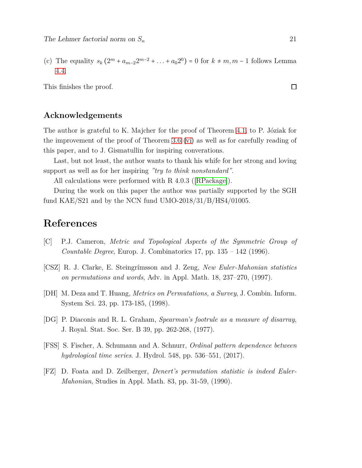(c) The equality  $s_k (2^m + a_{m-2}2^{m-2} + ... + a_0 2^0) = 0$  for  $k \neq m, m-1$  follows Lemma [4.4.](#page-11-1)

This finishes the proof.

#### **Acknowledgements**

The author is grateful to K. Majcher for the proof of Theorem [4.1,](#page-9-1) to P. Józiak for the improvement of the proof of Theorem [3.6](#page-6-2) [\(vi\)](#page-6-7) as well as for carefully reading of this paper, and to J. Gismatullin for inspiring converations.

Last, but not least, the author wants to thank his whife for her strong and loving support as well as for her inspiring *"try to think nonstandard"*.

All calculations were performed with R 4.0.3 ([\[RPackage\]](#page-22-9)).

During the work on this paper the author was partially supported by the SGH fund KAE/S21 and by the NCN fund UMO-2018/31/B/HS4/01005.

#### **References**

- <span id="page-20-5"></span>[C] P.J. Cameron, *Metric and Topological Aspects of the Symmetric Group of Countable Degree*, Europ. J. Combinatorics 17, pp. 135 – 142 (1996).
- <span id="page-20-4"></span>[CSZ] R. J. Clarke, E. Steingrímsson and J. Zeng, *New Euler-Mahonian statistics on permutations and words*, Adv. in Appl. Math. 18, 237–270, (1997).
- <span id="page-20-1"></span>[DH] M. Deza and T. Huang, *Metrics on Permutations, a Survey*, J. Combin. Inform. System Sci. 23, pp. 173-185, (1998).
- <span id="page-20-0"></span>[DG] P. Diaconis and R. L. Graham, *Spearman's footrule as a measure of disarray*, J. Royal. Stat. Soc. Ser. B 39, pp. 262-268, (1977).
- <span id="page-20-2"></span>[FSS] S. Fischer, A. Schumann and A. Schnurr, *Ordinal pattern dependence between hydrological time series*. J. Hydrol. 548, pp. 536–551, (2017).
- <span id="page-20-3"></span>[FZ] D. Foata and D. Zeilberger, *Denert's permutation statistic is indeed Euler-Mahonian*, Studies in Appl. Math. 83, pp. 31-59, (1990).

 $\Box$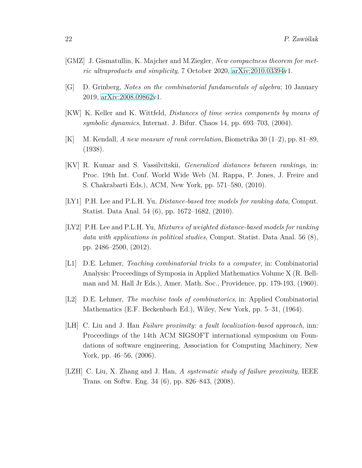- <span id="page-21-7"></span>[GMZ] J. Gismatullin, K. Majcher and M.Ziegler, *New compactness theorem for metric ultraproducts and simplicity*, 7 October 2020, [arXiv:2010.03394v](http://arxiv.org/abs/2010.03394)1.
- <span id="page-21-8"></span>[G] D. Grinberg, *Notes on the combinatorial fundamentals of algebra*; 10 January 2019, [arXiv:2008.09862v](http://arxiv.org/abs/2008.09862)1.
- <span id="page-21-1"></span>[KW] K. Keller and K. Wittfeld, *Distances of time series components by means of symbolic dynamics*, Internat. J. Bifur. Chaos 14, pp. 693–703, (2004).
- <span id="page-21-0"></span>[K] M. Kendall, *A new measure of rank correlation*, Biometrika 30 (1–2), pp. 81–89, (1938).
- <span id="page-21-4"></span>[KV] R. Kumar and S. Vassilvitskii, *Generalized distances between rankings*, in: Proc. 19th Int. Conf. World Wide Web (M. Rappa, P. Jones, J. Freire and S. Chakrabarti Eds.), ACM, New York, pp. 571–580, (2010).
- <span id="page-21-5"></span>[LY1] P.H. Lee and P.L.H. Yu, *Distance-based tree models for ranking data*, Comput. Statist. Data Anal. 54 (6), pp. 1672–1682, (2010).
- <span id="page-21-6"></span>[LY2] P.H. Lee and P.L.H. Yu, *Mixtures of weighted distance-based models for ranking data with applications in political studies*, Comput. Statist. Data Anal. 56 (8), pp. 2486–2500, (2012).
- <span id="page-21-9"></span>[L1] D.E. Lehmer, *Teaching combinatorial tricks to a computer*, in: Combinatorial Analysis: Proceedings of Symposia in Applied Mathematics Volume X (R. Bellman and M. Hall Jr Eds.), Amer. Math. Soc., Providence, pp. 179-193, (1960).
- <span id="page-21-10"></span>[L2] D.E. Lehmer, *The machine tools of combinatorics*, in: Applied Combinatorial Mathematics (E.F. Beckenbach Ed.), Wiley, New York, pp. 5–31, (1964).
- <span id="page-21-2"></span>[LH] C. Liu and J. Han *Failure proximity: a fault localization-based approach*, inn: Proceedings of the 14th ACM SIGSOFT international symposium on Foundations of software engineering, Association for Computing Machinery, New York, pp. 46–56, (2006).
- <span id="page-21-3"></span>[LZH] C. Liu, X. Zhang and J. Han, *A systematic study of failure proximity*, IEEE Trans. on Softw. Eng. 34 (6), pp. 826–843, (2008).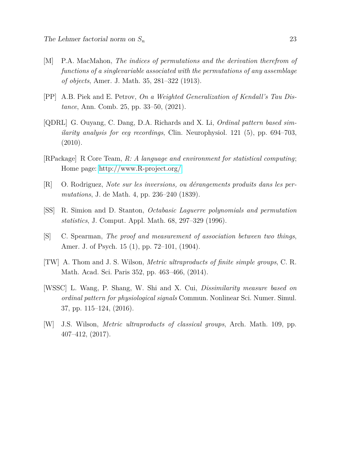- <span id="page-22-5"></span>[M] P.A. MacMahon, *The indices of permutations and the derivation therefrom of functions of a singlevariable associated with the permutations of any assemblage of objects*, Amer. J. Math. 35, 281–322 (1913).
- <span id="page-22-3"></span>[PP] A.B. Piek and E. Petrov, *On a Weighted Generalization of Kendall's Tau Distance*, Ann. Comb. 25, pp. 33–50, (2021).
- <span id="page-22-1"></span>[QDRL] G. Ouyang, C. Dang, D.A. Richards and X. Li, *Ordinal pattern based similarity analysis for eeg recordings*, Clin. Neurophysiol. 121 (5), pp. 694–703, (2010).
- <span id="page-22-9"></span>[RPackage] R Core Team, *R: A language and environment for statistical computing*; Home page:<http://www.R-project.org/>
- <span id="page-22-4"></span>[R] O. Rodriguez, *Note sur les inversions, ou dérangements produits dans les permutations*, J. de Math. 4, pp. 236–240 (1839).
- <span id="page-22-6"></span>[SS] R. Simion and D. Stanton, *Octabasic Laguerre polynomials and permutation statistics*, J. Comput. Appl. Math. 68, 297–329 (1996).
- <span id="page-22-0"></span>[S] C. Spearman, *The proof and measurement of association between two things*, Amer. J. of Psych. 15 (1), pp. 72–101, (1904).
- <span id="page-22-7"></span>[TW] A. Thom and J. S. Wilson, *Metric ultraproducts of finite simple groups*, C. R. Math. Acad. Sci. Paris 352, pp. 463–466, (2014).
- <span id="page-22-2"></span>[WSSC] L. Wang, P. Shang, W. Shi and X. Cui, *Dissimilarity measure based on ordinal pattern for physiological signals* Commun. Nonlinear Sci. Numer. Simul. 37, pp. 115–124, (2016).
- <span id="page-22-8"></span>[W] J.S. Wilson, *Metric ultraproducts of classical groups*, Arch. Math. 109, pp. 407–412, (2017).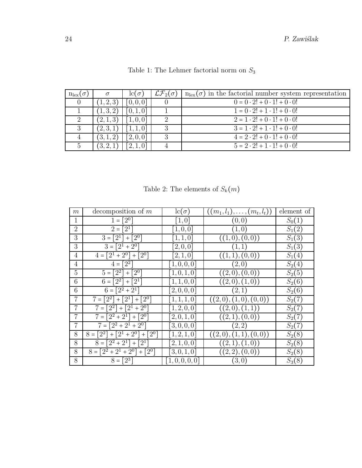<span id="page-23-0"></span>

| $n_{\text{lex}}(\sigma)$ |         | $lc( \sigma)$ | $\mathcal{LF}_2(\sigma)$ | $n_{\text{lex}}(\sigma)$ in the factorial number system representation |
|--------------------------|---------|---------------|--------------------------|------------------------------------------------------------------------|
|                          | 1, 2, 3 | [0,0,0]       |                          | $0 = 0 \cdot 2! + 0 \cdot 1! + 0 \cdot 0!$                             |
|                          | (1,3,2) | [0, 1, 0]     |                          | $1 = 0 \cdot 2! + 1 \cdot 1! + 0 \cdot 0!$                             |
|                          | (2,1,3) | [1,0,0]       | റ                        | $2 = 1 \cdot 2! + 0 \cdot 1! + 0 \cdot 0!$                             |
|                          | (2,3,1) | [1,1,0]       |                          | $3 = 1 \cdot 2! + 1 \cdot 1! + 0 \cdot 0!$                             |
|                          | (3,1,2) | [2,0,0]       |                          | $4 = 2 \cdot 2! + 0 \cdot 1! + 0 \cdot 0!$                             |
|                          |         | 2,1,0         |                          | $5 = 2 \cdot 2! + 1 \cdot 1! + 0 \cdot 0!$                             |

Table 1: The Lehmer factorial norm on *S*<sup>3</sup>

Table 2: The elements of  $\mathfrak{S}_k(m)$ 

<span id="page-23-1"></span>

| m              | decomposition of $m$                           | $lc(\sigma)$       | $((m_1, l_1), \ldots, (m_t, l_t))$ | element of          |
|----------------|------------------------------------------------|--------------------|------------------------------------|---------------------|
| 1              | $1 = [2^0]$                                    | $\left[1,0\right]$ | (0,0)                              | $S_0(1)$            |
| $\overline{2}$ | $2=[2^1]$                                      | [1, 0, 0]          | (1,0)                              | $S_1(2)$            |
| 3              | $3 = [2^1] + [2^0]$                            | [1, 1, 0]          | ((1,0),(0,0))                      | $S_1(3)$            |
| 3              | $3 = [2^1 + 2^0]$                              | [2,0,0]            | (1,1)                              | $S_1(3)$            |
| $\overline{4}$ | $4 = [2^1 + 2^0] + [2^0]$                      | [2,1,0]            | ((1,1),(0,0))                      | $S_1(4)$            |
| $\overline{4}$ | $4=[2^2]$                                      | [1,0,0,0]          | (2,0)                              | $\overline{S}_2(4)$ |
| 5              | $\lceil 2^0 \rceil$<br>$5 =$<br>$ 2^2 $<br>$+$ | [1,0,1,0]          | ((2,0),(0,0))                      | $S_2(5)$            |
| 6              | $6 =  2^2  +  2^1 $                            | [1, 1, 0, 0]       | ((2,0),(1,0))                      | $S_2(6)$            |
| 6              | $6 = [2^2 + 2^1]$                              | [2,0,0,0]          | (2,1)                              | $S_2(6)$            |
| 7              | $7 = \lfloor 2^2 \rfloor$<br>$+[2^1]+[2^0]$    | [1, 1, 1, 0]       | ((2,0),(1,0),(0,0))                | $S_2(7)$            |
| $\overline{7}$ | $[2^2] + [2^1 + 2^0]$<br>$7 =$                 | [1, 2, 0, 0]       | ((2,0),(1,1))                      | $S_2(7)$            |
| 7              | $7 = [2^2 + 2^1] + [2^0]$                      | [2,0,1,0]          | ((2,1),(0,0))                      | $S_2(7)$            |
| $\overline{7}$ | $7 = [2^2 + 2^1 + 2^0]$                        | [3,0,0,0]          | (2, 2)                             | $S_2(7)$            |
| 8              | $8 = [2^2] + [2^1 + 2^0] + [2^0]$              | [1, 2, 1, 0]       | ((2,0),(1,1),<br>(0,0)             | $S_2(8)$            |
| 8              | $8 = [2^2 + 2^1] + [2^1]$                      | [2,1,0,0]          | ((2,1),(1,0))                      | $S_2(8)$            |
| 8              | $8 = [2^2 + 2^1 + 2^0] + [2^0]$                | [3,0,1,0]          | ((2,2),(0,0))                      | $S_2(8)$            |
| 8              | $8 = [2^3]$                                    | [1, 0, 0, 0, 0]    | (3,0)                              | $S_3(8)$            |